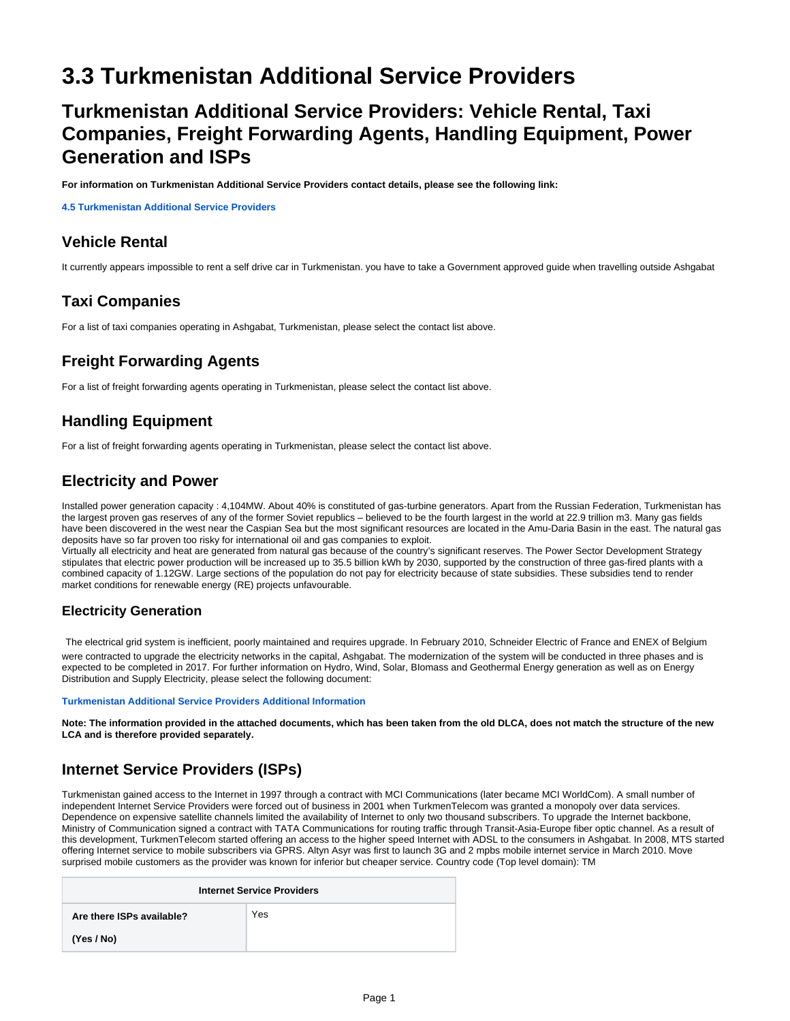# **3.3 Turkmenistan Additional Service Providers**

## **Turkmenistan Additional Service Providers: Vehicle Rental, Taxi Companies, Freight Forwarding Agents, Handling Equipment, Power Generation and ISPs**

**For information on Turkmenistan Additional Service Providers contact details, please see the following link:** 

**[4.5 Turkmenistan Additional Service Providers](https://dlca.logcluster.org/display/DLCA/4.5+Turkmenistan+Additional+Service+Providers)**

#### **Vehicle Rental**

It currently appears impossible to rent a self drive car in Turkmenistan. you have to take a Government approved guide when travelling outside Ashgabat

#### **Taxi Companies**

For a list of taxi companies operating in Ashgabat, Turkmenistan, please select the contact list above.

## **Freight Forwarding Agents**

For a list of freight forwarding agents operating in Turkmenistan, please select the contact list above.

#### **Handling Equipment**

For a list of freight forwarding agents operating in Turkmenistan, please select the contact list above.

#### **Electricity and Power**

Installed power generation capacity : 4,104MW. About 40% is constituted of gas-turbine generators. Apart from the Russian Federation, Turkmenistan has the largest proven gas reserves of any of the former Soviet republics – believed to be the fourth largest in the world at 22.9 trillion m3. Many gas fields have been discovered in the west near the Caspian Sea but the most significant resources are located in the Amu-Daria Basin in the east. The natural gas deposits have so far proven too risky for international oil and gas companies to exploit.

Virtually all electricity and heat are generated from natural gas because of the country's significant reserves. The Power Sector Development Strategy stipulates that electric power production will be increased up to 35.5 billion kWh by 2030, supported by the construction of three gas-fired plants with a combined capacity of 1.12GW. Large sections of the population do not pay for electricity because of state subsidies. These subsidies tend to render market conditions for renewable energy (RE) projects unfavourable.

#### **Electricity Generation**

The electrical grid system is inefficient, poorly maintained and requires upgrade. In February 2010, Schneider Electric of France and ENEX of Belgium were contracted to upgrade the electricity networks in the capital, Ashgabat. The modernization of the system will be conducted in three phases and is expected to be completed in 2017. For further information on Hydro, Wind, Solar, BIomass and Geothermal Energy generation as well as on Energy Distribution and Supply Electricity, please select the following document:

#### **[Turkmenistan Additional Service Providers Additional Information](https://dlca.logcluster.org/download/attachments/853038/Turkmenistan%20Additional%20Service%20Providers%20Additional%20Information.docx?version=1&modificationDate=1380553245000&api=v2)**

**Note: The information provided in the attached documents, which has been taken from the old DLCA, does not match the structure of the new LCA and is therefore provided separately.**

## **Internet Service Providers (ISPs)**

Turkmenistan gained access to the Internet in 1997 through a contract with MCI Communications (later became MCI WorldCom). A small number of independent Internet Service Providers were forced out of business in 2001 when TurkmenTelecom was granted a monopoly over data services. Dependence on expensive satellite channels limited the availability of Internet to only two thousand subscribers. To upgrade the Internet backbone, Ministry of Communication signed a contract with TATA Communications for routing traffic through Transit-Asia-Europe fiber optic channel. As a result of this development, TurkmenTelecom started offering an access to the higher speed Internet with ADSL to the consumers in Ashgabat. In 2008, MTS started offering Internet service to mobile subscribers via GPRS. Altyn Asyr was first to launch 3G and 2 mpbs mobile internet service in March 2010. Move surprised mobile customers as the provider was known for inferior but cheaper service. Country code (Top level domain): TM

| <b>Internet Service Providers</b> |     |  |
|-----------------------------------|-----|--|
| Are there ISPs available?         | Yes |  |
| (Yes / No)                        |     |  |